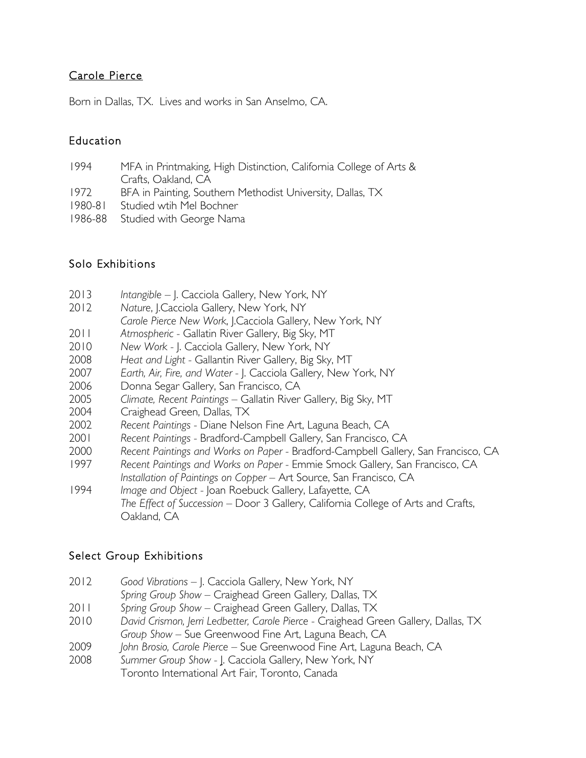# Carole Pierce

Born in Dallas, TX. Lives and works in San Anselmo, CA.

# Education

- 1994 MFA in Printmaking, High Distinction, California College of Arts & Crafts, Oakland, CA
- 1972 BFA in Painting, Southern Methodist University, Dallas, TX
- 1980-81 Studied wtih Mel Bochner
- 1986-88 Studied with George Nama

# Solo Exhibitions

- 2013 *Intangible*  J. Cacciola Gallery, New York, NY
- 2012 *Nature*, J.Cacciola Gallery, New York, NY
- *Carole Pierce New Work*, J.Cacciola Gallery, New York, NY
- 2011 *Atmospheric -* Gallatin River Gallery, Big Sky, MT
- 2010 *New Work -* J. Cacciola Gallery, New York, NY
- 2008 *Heat and Light -* Gallantin River Gallery, Big Sky, MT
- 2007 *Earth, Air, Fire, and Water -* J. Cacciola Gallery, New York, NY
- 2006 Donna Segar Gallery, San Francisco, CA
- 2005 *Climate, Recent Paintings* Gallatin River Gallery, Big Sky, MT
- 2004 Craighead Green, Dallas, TX
- 2002 *Recent Paintings -* Diane Nelson Fine Art, Laguna Beach, CA
- 2001 *Recent Paintings -* Bradford-Campbell Gallery, San Francisco, CA
- 2000 *Recent Paintings and Works on Paper -* Bradford-Campbell Gallery, San Francisco, CA
- 1997 *Recent Paintings and Works on Paper -* Emmie Smock Gallery, San Francisco, CA *Installation of Paintings on Copper –* Art Source, San Francisco, CA
- 1994 *Image and Object -* Joan Roebuck Gallery, Lafayette, CA *The Effect of Succession –* Door 3 Gallery, California College of Arts and Crafts, Oakland, CA

# Select Group Exhibitions

- 2012 *Good Vibrations –* J. Cacciola Gallery, New York, NY
- *Spring Group Show –* Craighead Green Gallery*,* Dallas, TX
- 2011 *Spring Group Show –* Craighead Green Gallery, Dallas, TX
- 2010 *David Crismon, Jerri Ledbetter, Carole Pierce -* Craighead Green Gallery, Dallas, TX *Group Show –* Sue Greenwood Fine Art, Laguna Beach, CA
- 2009 *John Brosio, Carole Pierce –* Sue Greenwood Fine Art, Laguna Beach, CA
- 2008 *Summer Group Show -* J. Cacciola Gallery, New York, NY Toronto International Art Fair, Toronto, Canada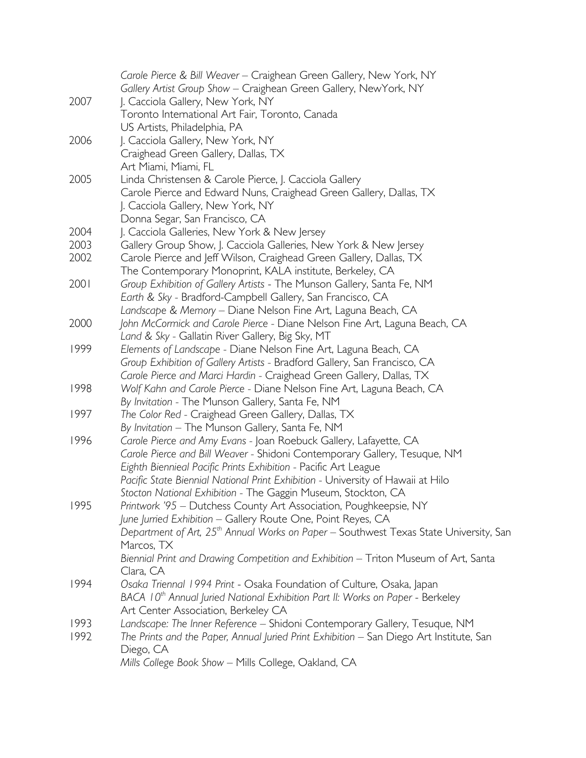|      | Carole Pierce & Bill Weaver - Craighean Green Gallery, New York, NY                                                                          |
|------|----------------------------------------------------------------------------------------------------------------------------------------------|
|      | Gallery Artist Group Show - Craighean Green Gallery, NewYork, NY                                                                             |
| 2007 | J. Cacciola Gallery, New York, NY                                                                                                            |
|      | Toronto International Art Fair, Toronto, Canada                                                                                              |
|      | US Artists, Philadelphia, PA                                                                                                                 |
| 2006 | J. Cacciola Gallery, New York, NY                                                                                                            |
|      | Craighead Green Gallery, Dallas, TX                                                                                                          |
|      | Art Miami, Miami, FL                                                                                                                         |
| 2005 | Linda Christensen & Carole Pierce, J. Cacciola Gallery                                                                                       |
|      | Carole Pierce and Edward Nuns, Craighead Green Gallery, Dallas, TX                                                                           |
|      | J. Cacciola Gallery, New York, NY                                                                                                            |
|      | Donna Segar, San Francisco, CA                                                                                                               |
| 2004 | J. Cacciola Galleries, New York & New Jersey                                                                                                 |
| 2003 | Gallery Group Show, J. Cacciola Galleries, New York & New Jersey                                                                             |
| 2002 | Carole Pierce and Jeff Wilson, Craighead Green Gallery, Dallas, TX                                                                           |
|      | The Contemporary Monoprint, KALA institute, Berkeley, CA                                                                                     |
| 2001 | Group Exhibition of Gallery Artists - The Munson Gallery, Santa Fe, NM                                                                       |
|      | Earth & Sky - Bradford-Campbell Gallery, San Francisco, CA                                                                                   |
|      | Landscape & Memory - Diane Nelson Fine Art, Laguna Beach, CA                                                                                 |
| 2000 | John McCormick and Carole Pierce - Diane Nelson Fine Art, Laguna Beach, CA                                                                   |
|      | Land & Sky - Gallatin River Gallery, Big Sky, MT                                                                                             |
| 1999 | Elements of Landscape - Diane Nelson Fine Art, Laguna Beach, CA                                                                              |
|      | Group Exhibition of Gallery Artists - Bradford Gallery, San Francisco, CA                                                                    |
|      | Carole Pierce and Marci Hardin - Craighead Green Gallery, Dallas, TX                                                                         |
| 1998 | Wolf Kahn and Carole Pierce - Diane Nelson Fine Art, Laguna Beach, CA                                                                        |
|      |                                                                                                                                              |
| 1997 | By Invitation - The Munson Gallery, Santa Fe, NM<br>The Color Red - Craighead Green Gallery, Dallas, TX                                      |
|      | By Invitation - The Munson Gallery, Santa Fe, NM                                                                                             |
| 1996 |                                                                                                                                              |
|      | Carole Pierce and Amy Evans - Joan Roebuck Gallery, Lafayette, CA                                                                            |
|      | Carole Pierce and Bill Weaver - Shidoni Contemporary Gallery, Tesuque, NM<br>Eighth Biennieal Pacific Prints Exhibition - Pacific Art League |
|      | Pacific State Biennial National Print Exhibition - University of Hawaii at Hilo                                                              |
|      |                                                                                                                                              |
| 1995 | Stocton National Exhibition - The Gaggin Museum, Stockton, CA<br>Printwork '95 - Dutchess County Art Association, Poughkeepsie, NY           |
|      | June Jurried Exhibition - Gallery Route One, Point Reyes, CA                                                                                 |
|      | Department of Art, 25 <sup>th</sup> Annual Works on Paper - Southwest Texas State University, San                                            |
|      | Marcos, TX                                                                                                                                   |
|      |                                                                                                                                              |
|      | Biennial Print and Drawing Competition and Exhibition - Triton Museum of Art, Santa                                                          |
|      | Clara, CA                                                                                                                                    |
| 1994 | Osaka Triennal 1994 Print - Osaka Foundation of Culture, Osaka, Japan                                                                        |
|      | BACA 10 <sup>th</sup> Annual Juried National Exhibition Part II: Works on Paper - Berkeley                                                   |
|      | Art Center Association, Berkeley CA                                                                                                          |
| 1993 | Landscape: The Inner Reference - Shidoni Contemporary Gallery, Tesuque, NM                                                                   |
| 1992 | The Prints and the Paper, Annual Juried Print Exhibition - San Diego Art Institute, San                                                      |
|      | Diego, CA                                                                                                                                    |
|      | Mills College Book Show - Mills College, Oakland, CA                                                                                         |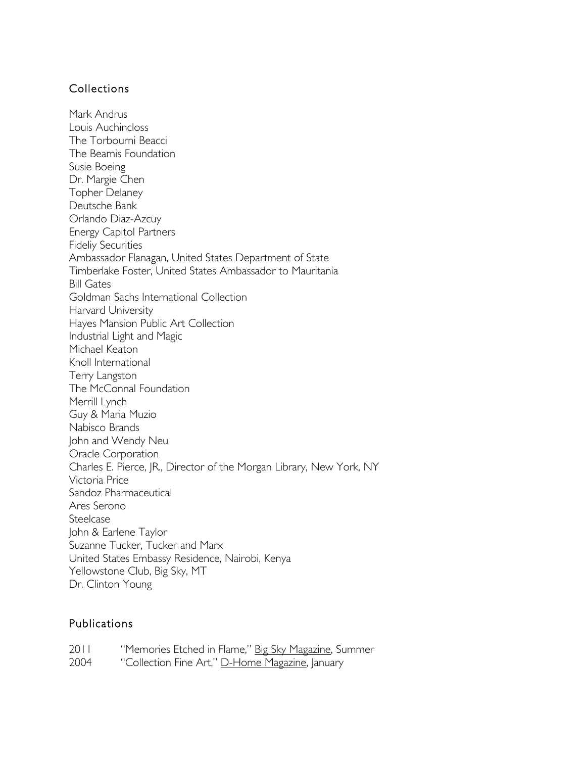#### Collections

Mark Andrus Louis Auchincloss The Torbourni Beacci The Beamis Foundation Susie Boeing Dr. Margie Chen Topher Delaney Deutsche Bank Orlando Diaz-Azcuy Energy Capitol Partners Fideliy Securities Ambassador Flanagan, United States Department of State Timberlake Foster, United States Ambassador to Mauritania Bill Gates Goldman Sachs International Collection Harvard University Hayes Mansion Public Art Collection Industrial Light and Magic Michael Keaton Knoll International Terry Langston The McConnal Foundation Merrill Lynch Guy & Maria Muzio Nabisco Brands John and Wendy Neu Oracle Corporation Charles E. Pierce, JR., Director of the Morgan Library, New York, NY Victoria Price Sandoz Pharmaceutical Ares Serono **Steelcase** John & Earlene Taylor Suzanne Tucker, Tucker and Marx United States Embassy Residence, Nairobi, Kenya Yellowstone Club, Big Sky, MT Dr. Clinton Young

#### Publications

| 2011 | "Memories Etched in Flame," Big Sky Magazine, Summer    |
|------|---------------------------------------------------------|
| 2004 | "Collection Fine Art," <u>D-Home Magazine</u> , January |